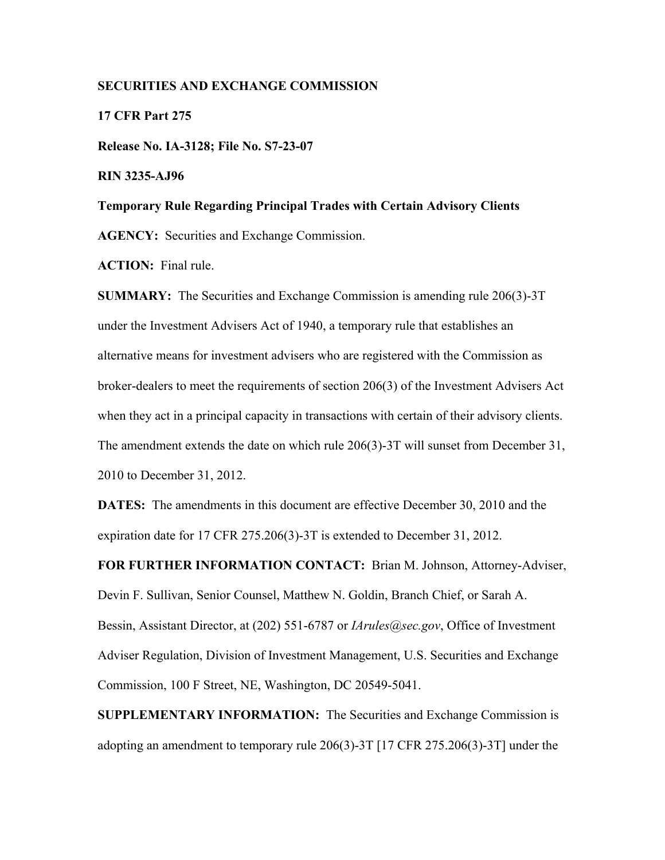## **SECURITIES AND EXCHANGE COMMISSION**

**17 CFR Part 275**

**Release No. IA-3128; File No. S7-23-07** 

**RIN 3235-AJ96** 

# **Temporary Rule Regarding Principal Trades with Certain Advisory Clients**

**AGENCY:** Securities and Exchange Commission.

**ACTION:** Final rule.

**SUMMARY:** The Securities and Exchange Commission is amending rule 206(3)-3T under the Investment Advisers Act of 1940, a temporary rule that establishes an alternative means for investment advisers who are registered with the Commission as broker-dealers to meet the requirements of section 206(3) of the Investment Advisers Act when they act in a principal capacity in transactions with certain of their advisory clients. The amendment extends the date on which rule 206(3)-3T will sunset from December 31, 2010 to December 31, 2012.

**DATES:** The amendments in this document are effective December 30, 2010 and the expiration date for 17 CFR 275.206(3)-3T is extended to December 31, 2012.

**FOR FURTHER INFORMATION CONTACT:** Brian M. Johnson, Attorney-Adviser, Devin F. Sullivan, Senior Counsel, Matthew N. Goldin, Branch Chief, or Sarah A. Bessin, Assistant Director, at (202) 551-6787 or *IArules@sec.gov*, Office of Investment Adviser Regulation, Division of Investment Management, U.S. Securities and Exchange Commission, 100 F Street, NE, Washington, DC 20549-5041.

**SUPPLEMENTARY INFORMATION:** The Securities and Exchange Commission is adopting an amendment to temporary rule 206(3)-3T [17 CFR 275.206(3)-3T] under the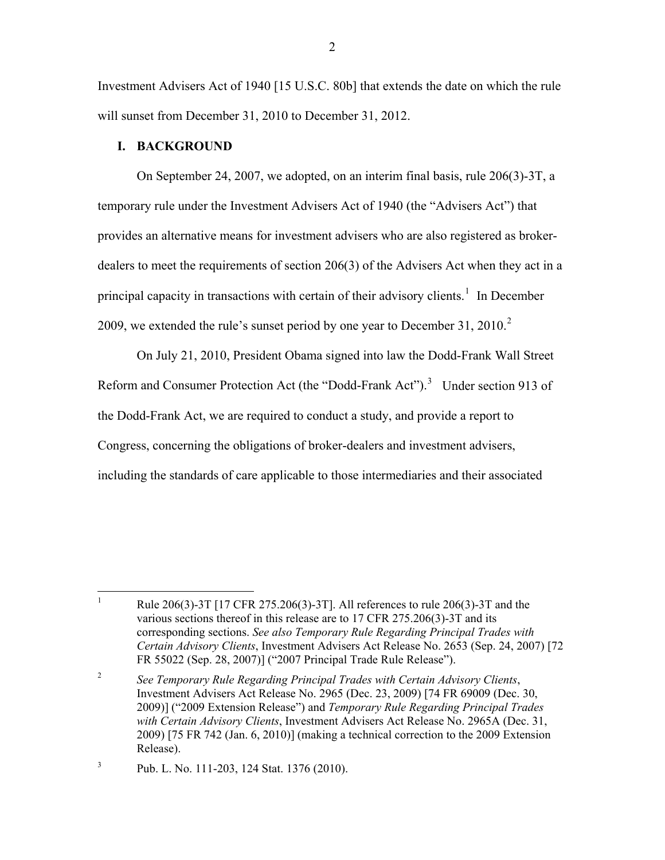Investment Advisers Act of 1940 [15 U.S.C. 80b] that extends the date on which the rule will sunset from December 31, 2010 to December 31, 2012.

## **I. BACKGROUND**

 On September 24, 2007, we adopted, on an interim final basis, rule 206(3)-3T, a temporary rule under the Investment Advisers Act of 1940 (the "Advisers Act") that provides an alternative means for investment advisers who are also registered as brokerdealers to meet the requirements of section 206(3) of the Advisers Act when they act in a principal capacity in transactions with certain of their advisory clients.<sup>[1](#page-1-0)</sup> In December [2](#page-1-1)009, we extended the rule's sunset period by one year to December 31, 2010.<sup>2</sup>

 On July 21, 2010, President Obama signed into law the Dodd-Frank Wall Street Reform and Consumer Protection Act (the "Dodd-Frank Act").<sup>[3](#page-1-2)</sup> Under section 913 of the Dodd-Frank Act, we are required to conduct a study, and provide a report to Congress, concerning the obligations of broker-dealers and investment advisers, including the standards of care applicable to those intermediaries and their associated

<span id="page-1-0"></span> $\frac{1}{1}$  Rule 206(3)-3T [17 CFR 275.206(3)-3T]. All references to rule 206(3)-3T and the various sections thereof in this release are to 17 CFR 275.206(3)-3T and its corresponding sections. *See also Temporary Rule Regarding Principal Trades with Certain Advisory Clients*, Investment Advisers Act Release No. 2653 (Sep. 24, 2007) [72 FR 55022 (Sep. 28, 2007)] ("2007 Principal Trade Rule Release").

<span id="page-1-1"></span><sup>2</sup> *See Temporary Rule Regarding Principal Trades with Certain Advisory Clients*, Investment Advisers Act Release No. 2965 (Dec. 23, 2009) [74 FR 69009 (Dec. 30, 2009)] ("2009 Extension Release") and *Temporary Rule Regarding Principal Trades with Certain Advisory Clients*, Investment Advisers Act Release No. 2965A (Dec. 31, 2009) [75 FR 742 (Jan. 6, 2010)] (making a technical correction to the 2009 Extension Release).

<span id="page-1-2"></span><sup>3</sup> Pub. L. No. 111-203, 124 Stat. 1376 (2010).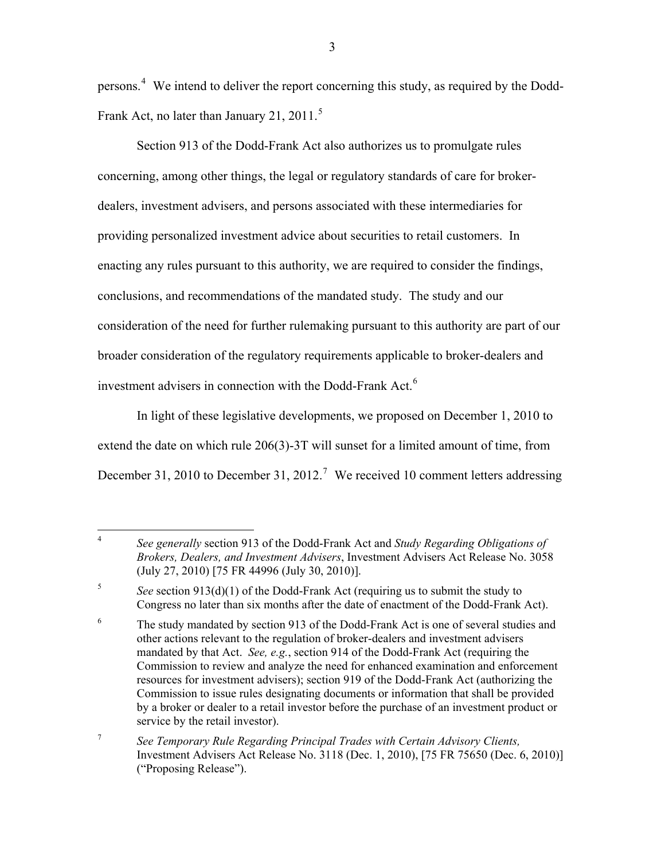persons.<sup>[4](#page-2-0)</sup> We intend to deliver the report concerning this study, as required by the Dodd-Frank Act, no later than January 21, 2011.<sup>[5](#page-2-1)</sup>

 Section 913 of the Dodd-Frank Act also authorizes us to promulgate rules concerning, among other things, the legal or regulatory standards of care for brokerdealers, investment advisers, and persons associated with these intermediaries for providing personalized investment advice about securities to retail customers. In enacting any rules pursuant to this authority, we are required to consider the findings, conclusions, and recommendations of the mandated study. The study and our consideration of the need for further rulemaking pursuant to this authority are part of our broader consideration of the regulatory requirements applicable to broker-dealers and investment advisers in connection with the Dodd-Frank Act.<sup>[6](#page-2-2)</sup>

In light of these legislative developments, we proposed on December 1, 2010 to extend the date on which rule 206(3)-3T will sunset for a limited amount of time, from December 31, 2010 to December 31, 2012.<sup>[7](#page-2-3)</sup> We received 10 comment letters addressing

<span id="page-2-0"></span> $\frac{1}{4}$  *See generally* section 913 of the Dodd-Frank Act and *Study Regarding Obligations of Brokers, Dealers, and Investment Advisers*, Investment Advisers Act Release No. 3058 (July 27, 2010) [75 FR 44996 (July 30, 2010)].

<span id="page-2-1"></span><sup>5</sup> *See* section 913(d)(1) of the Dodd-Frank Act (requiring us to submit the study to Congress no later than six months after the date of enactment of the Dodd-Frank Act).

<span id="page-2-2"></span><sup>6</sup> The study mandated by section 913 of the Dodd-Frank Act is one of several studies and other actions relevant to the regulation of broker-dealers and investment advisers mandated by that Act. *See, e.g.*, section 914 of the Dodd-Frank Act (requiring the Commission to review and analyze the need for enhanced examination and enforcement resources for investment advisers); section 919 of the Dodd-Frank Act (authorizing the Commission to issue rules designating documents or information that shall be provided by a broker or dealer to a retail investor before the purchase of an investment product or service by the retail investor).

<span id="page-2-3"></span><sup>7</sup> *See Temporary Rule Regarding Principal Trades with Certain Advisory Clients,*  Investment Advisers Act Release No. 3118 (Dec. 1, 2010), [75 FR 75650 (Dec. 6, 2010)] ("Proposing Release").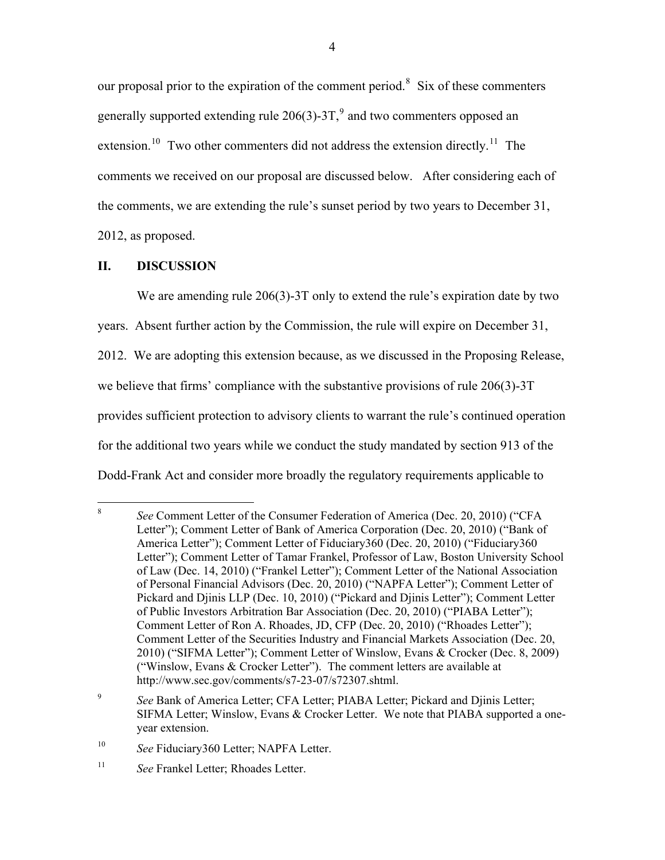our proposal prior to the expiration of the comment period.<sup>[8](#page-3-0)</sup> Six of these commenters generally supported extending rule  $206(3)$ -3T,  $9$  and two commenters opposed an extension.<sup>[10](#page-3-2)</sup> Two other commenters did not address the extension directly.<sup>[11](#page-3-3)</sup> The comments we received on our proposal are discussed below. After considering each of the comments, we are extending the rule's sunset period by two years to December 31, 2012, as proposed.

# **II. DISCUSSION**

We are amending rule 206(3)-3T only to extend the rule's expiration date by two

years. Absent further action by the Commission, the rule will expire on December 31,

2012. We are adopting this extension because, as we discussed in the Proposing Release,

we believe that firms' compliance with the substantive provisions of rule 206(3)-3T

provides sufficient protection to advisory clients to warrant the rule's continued operation

for the additional two years while we conduct the study mandated by section 913 of the

Dodd-Frank Act and consider more broadly the regulatory requirements applicable to

<span id="page-3-0"></span> 8 *See* Comment Letter of the Consumer Federation of America (Dec. 20, 2010) ("CFA Letter"); Comment Letter of Bank of America Corporation (Dec. 20, 2010) ("Bank of America Letter"); Comment Letter of Fiduciary360 (Dec. 20, 2010) ("Fiduciary360 Letter"); Comment Letter of Tamar Frankel, Professor of Law, Boston University School of Law (Dec. 14, 2010) ("Frankel Letter"); Comment Letter of the National Association of Personal Financial Advisors (Dec. 20, 2010) ("NAPFA Letter"); Comment Letter of Pickard and Djinis LLP (Dec. 10, 2010) ("Pickard and Djinis Letter"); Comment Letter of Public Investors Arbitration Bar Association (Dec. 20, 2010) ("PIABA Letter"); Comment Letter of Ron A. Rhoades, JD, CFP (Dec. 20, 2010) ("Rhoades Letter"); Comment Letter of the Securities Industry and Financial Markets Association (Dec. 20, 2010) ("SIFMA Letter"); Comment Letter of Winslow, Evans & Crocker (Dec. 8, 2009) ("Winslow, Evans & Crocker Letter"). The comment letters are available at http://www.sec.gov/comments/s7-23-07/s72307.shtml.

<span id="page-3-1"></span><sup>9</sup> *See* Bank of America Letter; CFA Letter; PIABA Letter; Pickard and Djinis Letter; SIFMA Letter; Winslow, Evans & Crocker Letter. We note that PIABA supported a oneyear extension.

<span id="page-3-2"></span><sup>&</sup>lt;sup>10</sup> *See* Fiduciary 360 Letter; NAPFA Letter.

<span id="page-3-3"></span><sup>11</sup> *See* Frankel Letter; Rhoades Letter.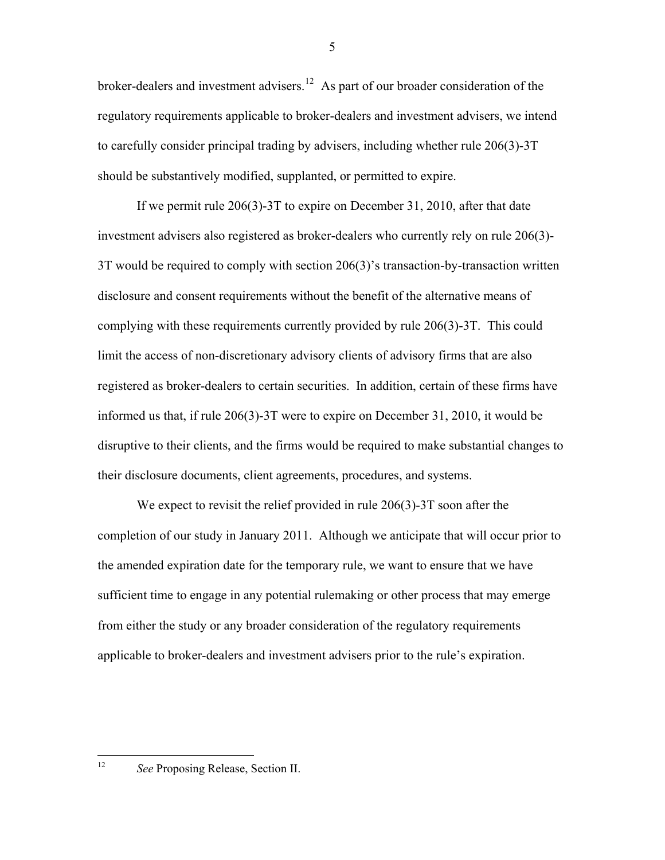broker-dealers and investment advisers.<sup>[12](#page-4-0)</sup> As part of our broader consideration of the regulatory requirements applicable to broker-dealers and investment advisers, we intend to carefully consider principal trading by advisers, including whether rule 206(3)-3T should be substantively modified, supplanted, or permitted to expire.

 If we permit rule 206(3)-3T to expire on December 31, 2010, after that date investment advisers also registered as broker-dealers who currently rely on rule 206(3)- 3T would be required to comply with section 206(3)'s transaction-by-transaction written disclosure and consent requirements without the benefit of the alternative means of complying with these requirements currently provided by rule 206(3)-3T. This could limit the access of non-discretionary advisory clients of advisory firms that are also registered as broker-dealers to certain securities. In addition, certain of these firms have informed us that, if rule 206(3)-3T were to expire on December 31, 2010, it would be disruptive to their clients, and the firms would be required to make substantial changes to their disclosure documents, client agreements, procedures, and systems.

We expect to revisit the relief provided in rule 206(3)-3T soon after the completion of our study in January 2011. Although we anticipate that will occur prior to the amended expiration date for the temporary rule, we want to ensure that we have sufficient time to engage in any potential rulemaking or other process that may emerge from either the study or any broader consideration of the regulatory requirements applicable to broker-dealers and investment advisers prior to the rule's expiration.

<span id="page-4-0"></span> $12$ 

See Proposing Release, Section II.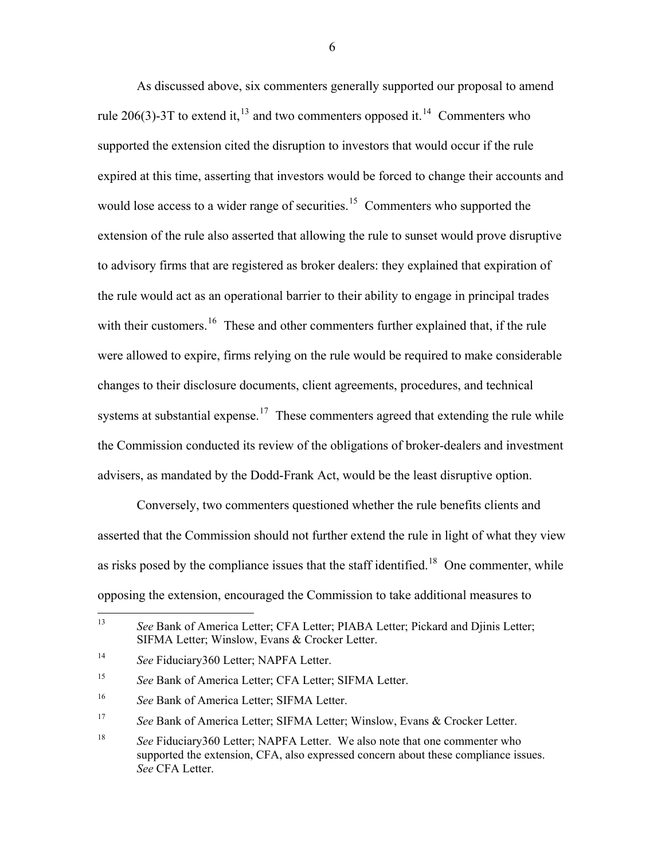As discussed above, six commenters generally supported our proposal to amend rule 206(3)-3T to extend it,  $^{13}$  $^{13}$  $^{13}$  and two commenters opposed it.<sup>[14](#page-5-1)</sup> Commenters who supported the extension cited the disruption to investors that would occur if the rule expired at this time, asserting that investors would be forced to change their accounts and would lose access to a wider range of securities.<sup>[15](#page-5-2)</sup> Commenters who supported the extension of the rule also asserted that allowing the rule to sunset would prove disruptive to advisory firms that are registered as broker dealers: they explained that expiration of the rule would act as an operational barrier to their ability to engage in principal trades with their customers.<sup>[16](#page-5-3)</sup> These and other commenters further explained that, if the rule were allowed to expire, firms relying on the rule would be required to make considerable changes to their disclosure documents, client agreements, procedures, and technical systems at substantial expense.<sup>[17](#page-5-4)</sup> These commenters agreed that extending the rule while the Commission conducted its review of the obligations of broker-dealers and investment advisers, as mandated by the Dodd-Frank Act, would be the least disruptive option.

 Conversely, two commenters questioned whether the rule benefits clients and asserted that the Commission should not further extend the rule in light of what they view as risks posed by the compliance issues that the staff identified.<sup>[18](#page-5-5)</sup> One commenter, while opposing the extension, encouraged the Commission to take additional measures to

<span id="page-5-0"></span><sup>13</sup> 13 *See* Bank of America Letter; CFA Letter; PIABA Letter; Pickard and Djinis Letter; SIFMA Letter; Winslow, Evans & Crocker Letter.

<span id="page-5-1"></span><sup>14</sup> *See* Fiduciary360 Letter; NAPFA Letter.

<span id="page-5-2"></span><sup>15</sup> *See* Bank of America Letter; CFA Letter; SIFMA Letter.

<span id="page-5-3"></span><sup>16</sup> *See* Bank of America Letter; SIFMA Letter.

<span id="page-5-4"></span><sup>17</sup> *See* Bank of America Letter; SIFMA Letter; Winslow, Evans & Crocker Letter.

<span id="page-5-5"></span><sup>&</sup>lt;sup>18</sup> *See Fiduciary360 Letter; NAPFA Letter.* We also note that one commenter who supported the extension, CFA, also expressed concern about these compliance issues. *See* CFA Letter.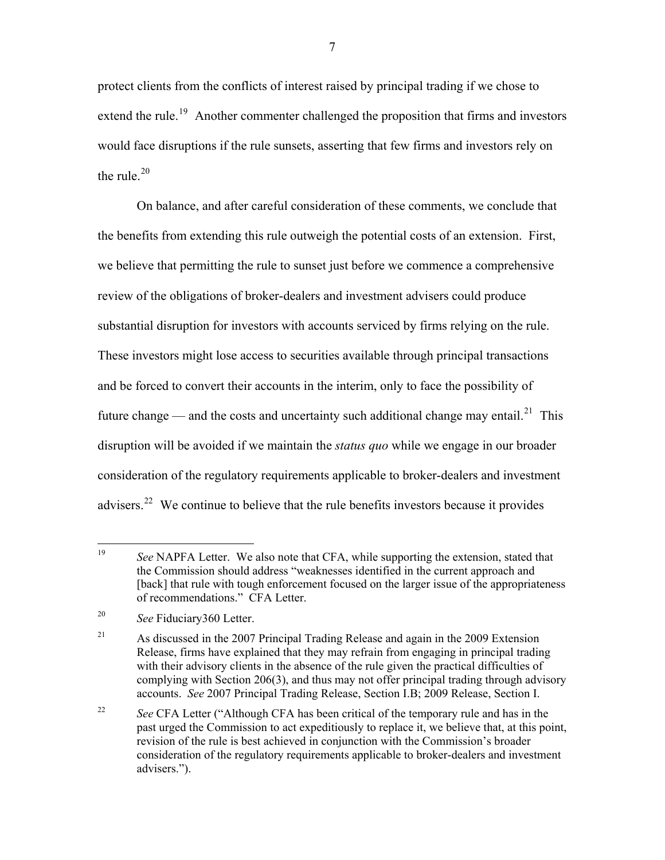protect clients from the conflicts of interest raised by principal trading if we chose to extend the rule.<sup>[19](#page-6-0)</sup> Another commenter challenged the proposition that firms and investors would face disruptions if the rule sunsets, asserting that few firms and investors rely on the rule  $20$ 

 On balance, and after careful consideration of these comments, we conclude that the benefits from extending this rule outweigh the potential costs of an extension. First, we believe that permitting the rule to sunset just before we commence a comprehensive review of the obligations of broker-dealers and investment advisers could produce substantial disruption for investors with accounts serviced by firms relying on the rule. These investors might lose access to securities available through principal transactions and be forced to convert their accounts in the interim, only to face the possibility of future change — and the costs and uncertainty such additional change may entail.<sup>[21](#page-6-2)</sup> This disruption will be avoided if we maintain the *status quo* while we engage in our broader consideration of the regulatory requirements applicable to broker-dealers and investment advisers.<sup>[22](#page-6-3)</sup> We continue to believe that the rule benefits investors because it provides

<span id="page-6-0"></span><sup>19</sup> See NAPFA Letter. We also note that CFA, while supporting the extension, stated that the Commission should address "weaknesses identified in the current approach and [back] that rule with tough enforcement focused on the larger issue of the appropriateness of recommendations." CFA Letter.

<span id="page-6-1"></span><sup>20</sup> *See* Fiduciary360 Letter.

<span id="page-6-2"></span><sup>&</sup>lt;sup>21</sup> As discussed in the 2007 Principal Trading Release and again in the 2009 Extension Release, firms have explained that they may refrain from engaging in principal trading with their advisory clients in the absence of the rule given the practical difficulties of complying with Section 206(3), and thus may not offer principal trading through advisory accounts. *See* 2007 Principal Trading Release, Section I.B; 2009 Release, Section I.

<span id="page-6-3"></span><sup>&</sup>lt;sup>22</sup> *See* CFA Letter ("Although CFA has been critical of the temporary rule and has in the past urged the Commission to act expeditiously to replace it, we believe that, at this point, revision of the rule is best achieved in conjunction with the Commission's broader consideration of the regulatory requirements applicable to broker-dealers and investment advisers.").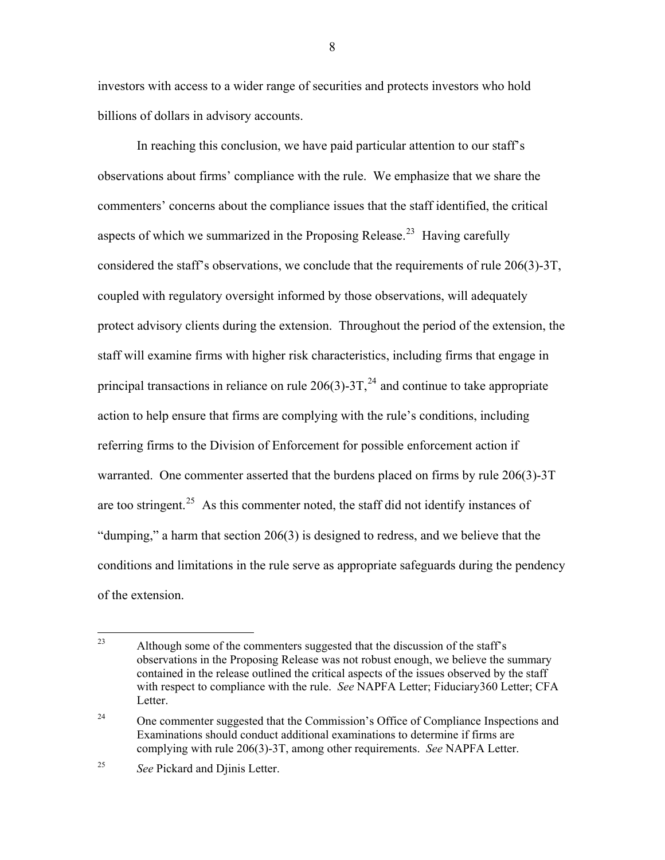investors with access to a wider range of securities and protects investors who hold billions of dollars in advisory accounts.

 In reaching this conclusion, we have paid particular attention to our staff's observations about firms' compliance with the rule. We emphasize that we share the commenters' concerns about the compliance issues that the staff identified, the critical aspects of which we summarized in the Proposing Release.<sup>[23](#page-7-0)</sup> Having carefully considered the staff's observations, we conclude that the requirements of rule 206(3)-3T, coupled with regulatory oversight informed by those observations, will adequately protect advisory clients during the extension. Throughout the period of the extension, the staff will examine firms with higher risk characteristics, including firms that engage in principal transactions in reliance on rule  $206(3)$ -3T,<sup>[24](#page-7-1)</sup> and continue to take appropriate action to help ensure that firms are complying with the rule's conditions, including referring firms to the Division of Enforcement for possible enforcement action if warranted. One commenter asserted that the burdens placed on firms by rule 206(3)-3T are too stringent.<sup>[25](#page-7-2)</sup> As this commenter noted, the staff did not identify instances of "dumping," a harm that section 206(3) is designed to redress, and we believe that the conditions and limitations in the rule serve as appropriate safeguards during the pendency of the extension.

<span id="page-7-0"></span><sup>23</sup> Although some of the commenters suggested that the discussion of the staff's observations in the Proposing Release was not robust enough, we believe the summary contained in the release outlined the critical aspects of the issues observed by the staff with respect to compliance with the rule. *See* NAPFA Letter; Fiduciary360 Letter; CFA Letter.

<span id="page-7-1"></span><sup>&</sup>lt;sup>24</sup> One commenter suggested that the Commission's Office of Compliance Inspections and Examinations should conduct additional examinations to determine if firms are complying with rule 206(3)-3T, among other requirements. *See* NAPFA Letter.

<span id="page-7-2"></span><sup>25</sup> *See* Pickard and Djinis Letter.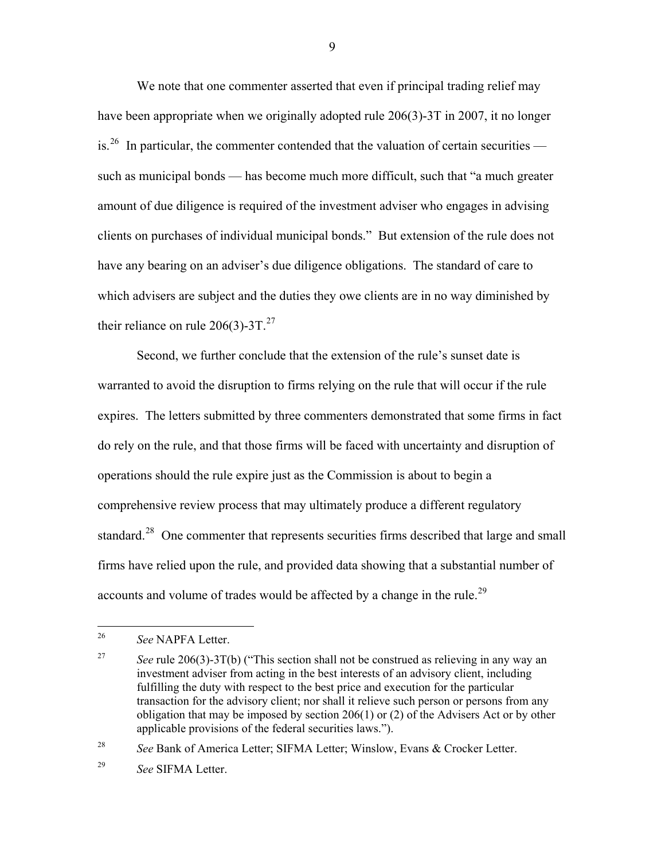We note that one commenter asserted that even if principal trading relief may have been appropriate when we originally adopted rule 206(3)-3T in 2007, it no longer is.<sup>[26](#page-8-0)</sup> In particular, the commenter contended that the valuation of certain securities such as municipal bonds — has become much more difficult, such that "a much greater amount of due diligence is required of the investment adviser who engages in advising clients on purchases of individual municipal bonds." But extension of the rule does not have any bearing on an adviser's due diligence obligations. The standard of care to which advisers are subject and the duties they owe clients are in no way diminished by their reliance on rule  $206(3)$ -3T.<sup>[27](#page-8-1)</sup>

 Second, we further conclude that the extension of the rule's sunset date is warranted to avoid the disruption to firms relying on the rule that will occur if the rule expires. The letters submitted by three commenters demonstrated that some firms in fact do rely on the rule, and that those firms will be faced with uncertainty and disruption of operations should the rule expire just as the Commission is about to begin a comprehensive review process that may ultimately produce a different regulatory standard.<sup>[28](#page-8-2)</sup> One commenter that represents securities firms described that large and small firms have relied upon the rule, and provided data showing that a substantial number of accounts and volume of trades would be affected by a change in the rule.<sup>[29](#page-8-3)</sup>

<span id="page-8-2"></span>28 *See* Bank of America Letter; SIFMA Letter; Winslow, Evans & Crocker Letter.

<span id="page-8-3"></span>29 *See* SIFMA Letter.

<span id="page-8-0"></span><sup>26</sup> 26 *See* NAPFA Letter.

<span id="page-8-1"></span><sup>&</sup>lt;sup>27</sup> *See* rule 206(3)-3T(b) ("This section shall not be construed as relieving in any way an investment adviser from acting in the best interests of an advisory client, including fulfilling the duty with respect to the best price and execution for the particular transaction for the advisory client; nor shall it relieve such person or persons from any obligation that may be imposed by section  $206(1)$  or (2) of the Advisers Act or by other applicable provisions of the federal securities laws.").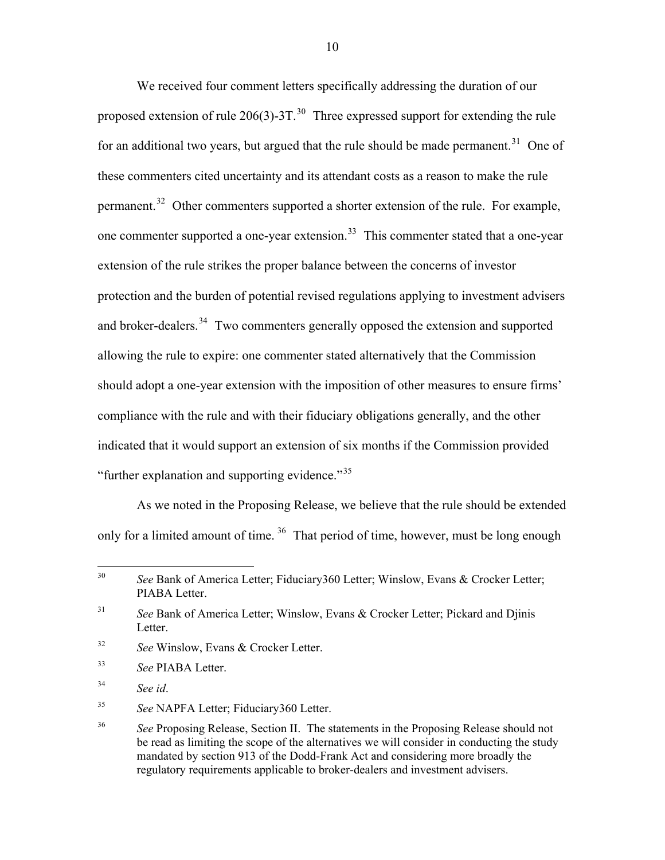We received four comment letters specifically addressing the duration of our proposed extension of rule  $206(3)$ -3T.<sup>[30](#page-9-0)</sup> Three expressed support for extending the rule for an additional two years, but argued that the rule should be made permanent.<sup>[31](#page-9-1)</sup> One of these commenters cited uncertainty and its attendant costs as a reason to make the rule permanent.<sup>[32](#page-9-2)</sup> Other commenters supported a shorter extension of the rule. For example, one commenter supported a one-year extension.<sup>[33](#page-9-3)</sup> This commenter stated that a one-year extension of the rule strikes the proper balance between the concerns of investor protection and the burden of potential revised regulations applying to investment advisers and broker-dealers.<sup>[34](#page-9-4)</sup> Two commenters generally opposed the extension and supported allowing the rule to expire: one commenter stated alternatively that the Commission should adopt a one-year extension with the imposition of other measures to ensure firms' compliance with the rule and with their fiduciary obligations generally, and the other indicated that it would support an extension of six months if the Commission provided "further explanation and supporting evidence."<sup>[35](#page-9-5)</sup>

 As we noted in the Proposing Release, we believe that the rule should be extended only for a limited amount of time. <sup>[36](#page-9-6)</sup> That period of time, however, must be long enough

- <span id="page-9-2"></span>32 *See* Winslow, Evans & Crocker Letter.
- <span id="page-9-3"></span>33 *See* PIABA Letter.
- <span id="page-9-4"></span>34 *See id*.

 $\overline{a}$ 

<span id="page-9-5"></span>35 *See* NAPFA Letter; Fiduciary360 Letter.

<span id="page-9-0"></span><sup>30</sup> *See* Bank of America Letter; Fiduciary360 Letter; Winslow, Evans & Crocker Letter; PIABA Letter.

<span id="page-9-1"></span><sup>31</sup> *See* Bank of America Letter; Winslow, Evans & Crocker Letter; Pickard and Djinis Letter.

<span id="page-9-6"></span><sup>&</sup>lt;sup>36</sup> *See Proposing Release, Section II. The statements in the Proposing Release should not*  be read as limiting the scope of the alternatives we will consider in conducting the study mandated by section 913 of the Dodd-Frank Act and considering more broadly the regulatory requirements applicable to broker-dealers and investment advisers.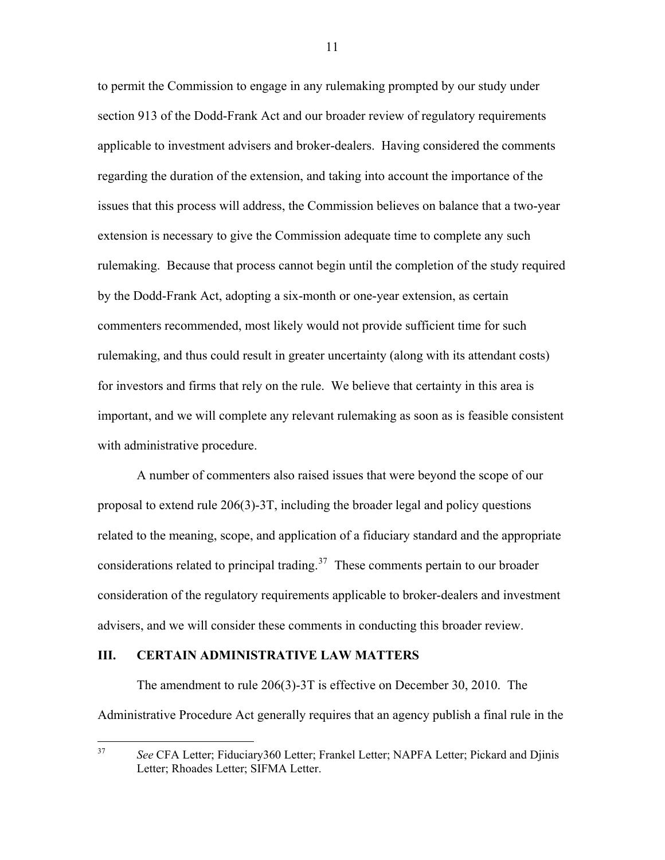to permit the Commission to engage in any rulemaking prompted by our study under section 913 of the Dodd-Frank Act and our broader review of regulatory requirements applicable to investment advisers and broker-dealers. Having considered the comments regarding the duration of the extension, and taking into account the importance of the issues that this process will address, the Commission believes on balance that a two-year extension is necessary to give the Commission adequate time to complete any such rulemaking. Because that process cannot begin until the completion of the study required by the Dodd-Frank Act, adopting a six-month or one-year extension, as certain commenters recommended, most likely would not provide sufficient time for such rulemaking, and thus could result in greater uncertainty (along with its attendant costs) for investors and firms that rely on the rule. We believe that certainty in this area is important, and we will complete any relevant rulemaking as soon as is feasible consistent with administrative procedure.

A number of commenters also raised issues that were beyond the scope of our proposal to extend rule 206(3)-3T, including the broader legal and policy questions related to the meaning, scope, and application of a fiduciary standard and the appropriate considerations related to principal trading.<sup>[37](#page-10-0)</sup> These comments pertain to our broader consideration of the regulatory requirements applicable to broker-dealers and investment advisers, and we will consider these comments in conducting this broader review.

#### **III. CERTAIN ADMINISTRATIVE LAW MATTERS**

 The amendment to rule 206(3)-3T is effective on December 30, 2010. The Administrative Procedure Act generally requires that an agency publish a final rule in the

<span id="page-10-0"></span><sup>37</sup> 37 *See* CFA Letter; Fiduciary360 Letter; Frankel Letter; NAPFA Letter; Pickard and Djinis Letter; Rhoades Letter; SIFMA Letter.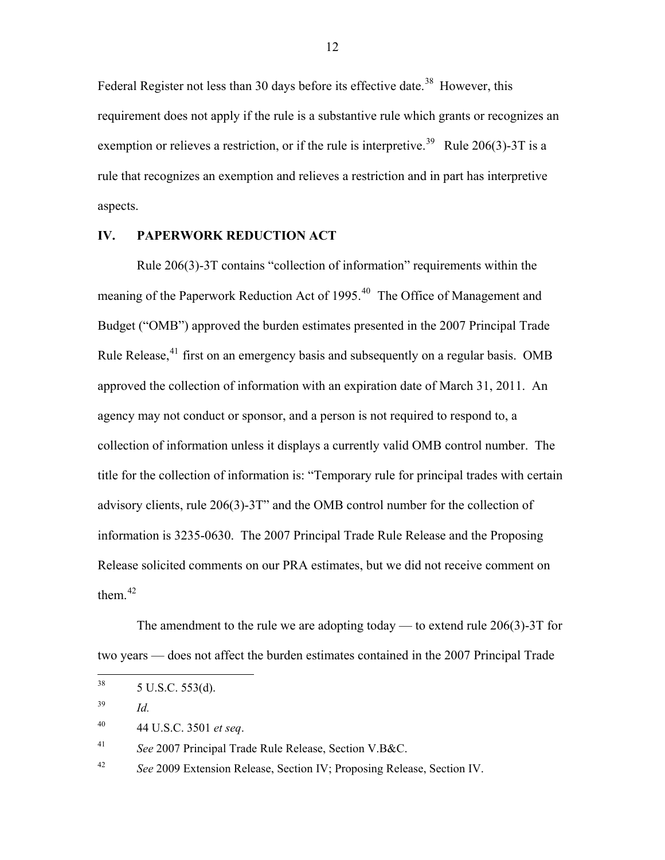Federal Register not less than 30 days before its effective date.<sup>[38](#page-11-0)</sup> However, this requirement does not apply if the rule is a substantive rule which grants or recognizes an exemption or relieves a restriction, or if the rule is interpretive.<sup>[39](#page-11-1)</sup> Rule 206(3)-3T is a rule that recognizes an exemption and relieves a restriction and in part has interpretive aspects.

# **IV. PAPERWORK REDUCTION ACT**

 Rule 206(3)-3T contains "collection of information" requirements within the meaning of the Paperwork Reduction Act of 1995.<sup>[40](#page-11-2)</sup> The Office of Management and Budget ("OMB") approved the burden estimates presented in the 2007 Principal Trade Rule Release,<sup>[41](#page-11-3)</sup> first on an emergency basis and subsequently on a regular basis. OMB approved the collection of information with an expiration date of March 31, 2011. An agency may not conduct or sponsor, and a person is not required to respond to, a collection of information unless it displays a currently valid OMB control number. The title for the collection of information is: "Temporary rule for principal trades with certain advisory clients, rule 206(3)-3T" and the OMB control number for the collection of information is 3235-0630. The 2007 Principal Trade Rule Release and the Proposing Release solicited comments on our PRA estimates, but we did not receive comment on them  $42$ 

The amendment to the rule we are adopting today — to extend rule  $206(3)$ -3T for two years — does not affect the burden estimates contained in the 2007 Principal Trade

<span id="page-11-3"></span>41 *See* 2007 Principal Trade Rule Release, Section V.B&C.

<span id="page-11-4"></span>42 *See* 2009 Extension Release, Section IV; Proposing Release, Section IV.

<span id="page-11-0"></span><sup>38</sup>  $5$  U.S.C.  $553(d)$ .

<span id="page-11-1"></span><sup>39</sup> *Id.* 

<span id="page-11-2"></span><sup>40 44</sup> U.S.C. 3501 *et seq*.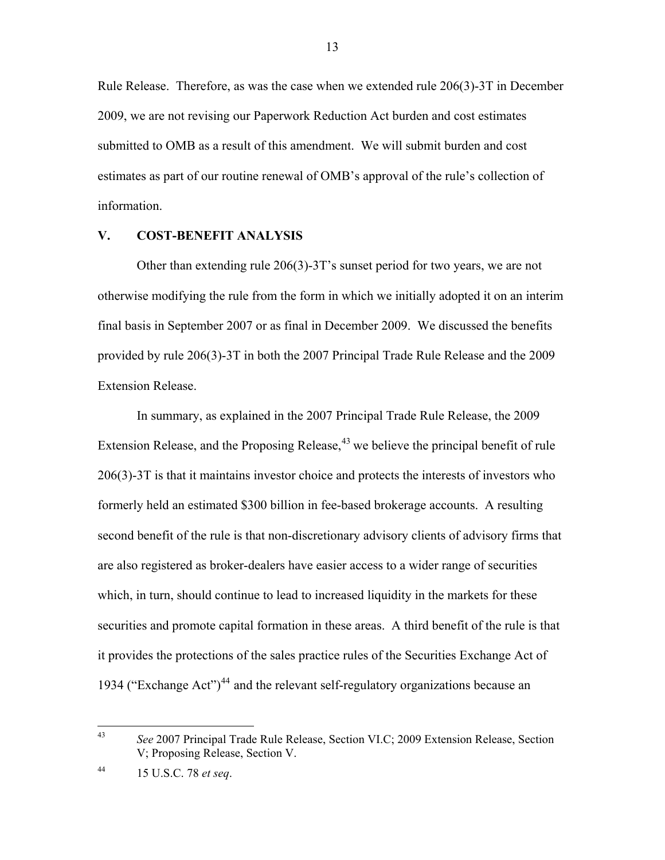Rule Release. Therefore, as was the case when we extended rule 206(3)-3T in December 2009, we are not revising our Paperwork Reduction Act burden and cost estimates submitted to OMB as a result of this amendment. We will submit burden and cost estimates as part of our routine renewal of OMB's approval of the rule's collection of information.

# **V. COST-BENEFIT ANALYSIS**

Other than extending rule 206(3)-3T's sunset period for two years, we are not otherwise modifying the rule from the form in which we initially adopted it on an interim final basis in September 2007 or as final in December 2009. We discussed the benefits provided by rule 206(3)-3T in both the 2007 Principal Trade Rule Release and the 2009 Extension Release.

In summary, as explained in the 2007 Principal Trade Rule Release, the 2009 Extension Release, and the Proposing Release,  $43$  we believe the principal benefit of rule 206(3)-3T is that it maintains investor choice and protects the interests of investors who formerly held an estimated \$300 billion in fee-based brokerage accounts. A resulting second benefit of the rule is that non-discretionary advisory clients of advisory firms that are also registered as broker-dealers have easier access to a wider range of securities which, in turn, should continue to lead to increased liquidity in the markets for these securities and promote capital formation in these areas. A third benefit of the rule is that it provides the protections of the sales practice rules of the Securities Exchange Act of 1934 ("Exchange Act")<sup>[44](#page-12-1)</sup> and the relevant self-regulatory organizations because an

<span id="page-12-0"></span> $43$ 43 *See* 2007 Principal Trade Rule Release, Section VI.C; 2009 Extension Release, Section V; Proposing Release, Section V.

<span id="page-12-1"></span><sup>44 15</sup> U.S.C. 78 *et seq*.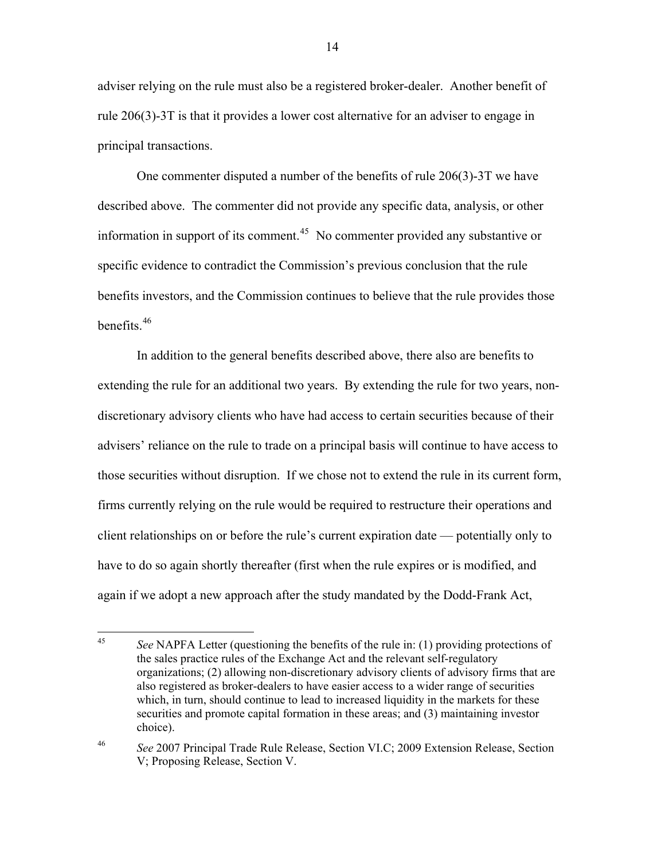adviser relying on the rule must also be a registered broker-dealer. Another benefit of rule 206(3)-3T is that it provides a lower cost alternative for an adviser to engage in principal transactions.

One commenter disputed a number of the benefits of rule 206(3)-3T we have described above. The commenter did not provide any specific data, analysis, or other information in support of its comment.<sup>[45](#page-13-0)</sup> No commenter provided any substantive or specific evidence to contradict the Commission's previous conclusion that the rule benefits investors, and the Commission continues to believe that the rule provides those benefits  $46$ 

In addition to the general benefits described above, there also are benefits to extending the rule for an additional two years. By extending the rule for two years, nondiscretionary advisory clients who have had access to certain securities because of their advisers' reliance on the rule to trade on a principal basis will continue to have access to those securities without disruption. If we chose not to extend the rule in its current form, firms currently relying on the rule would be required to restructure their operations and client relationships on or before the rule's current expiration date — potentially only to have to do so again shortly thereafter (first when the rule expires or is modified, and again if we adopt a new approach after the study mandated by the Dodd-Frank Act,

<span id="page-13-0"></span> $45<sup>°</sup>$ 45 *See* NAPFA Letter (questioning the benefits of the rule in: (1) providing protections of the sales practice rules of the Exchange Act and the relevant self-regulatory organizations; (2) allowing non-discretionary advisory clients of advisory firms that are also registered as broker-dealers to have easier access to a wider range of securities which, in turn, should continue to lead to increased liquidity in the markets for these securities and promote capital formation in these areas; and (3) maintaining investor choice).

<span id="page-13-1"></span><sup>46</sup> *See* 2007 Principal Trade Rule Release, Section VI.C; 2009 Extension Release, Section V; Proposing Release, Section V.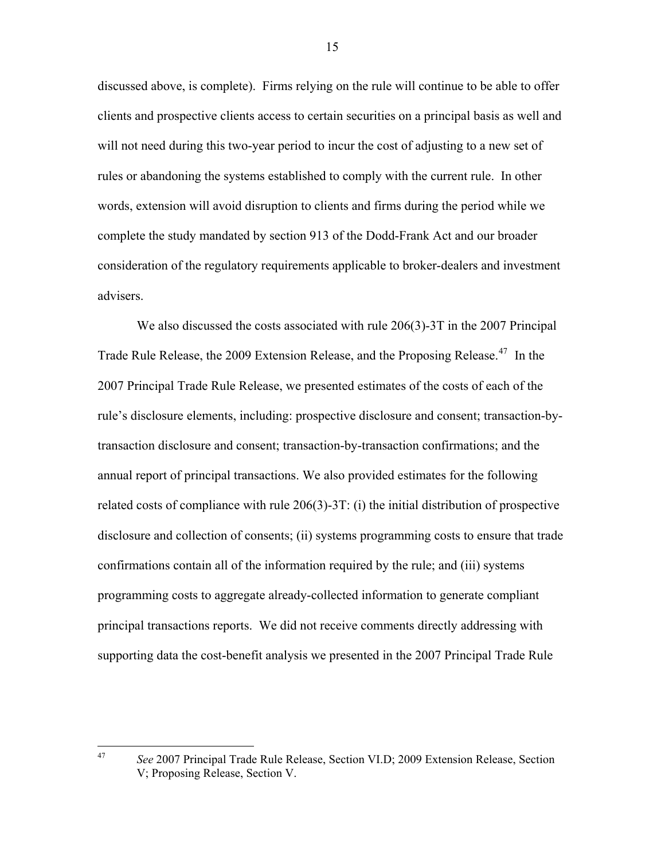discussed above, is complete). Firms relying on the rule will continue to be able to offer clients and prospective clients access to certain securities on a principal basis as well and will not need during this two-year period to incur the cost of adjusting to a new set of rules or abandoning the systems established to comply with the current rule. In other words, extension will avoid disruption to clients and firms during the period while we complete the study mandated by section 913 of the Dodd-Frank Act and our broader consideration of the regulatory requirements applicable to broker-dealers and investment advisers.

We also discussed the costs associated with rule 206(3)-3T in the 2007 Principal Trade Rule Release, the 2009 Extension Release, and the Proposing Release.<sup>[47](#page-14-0)</sup> In the 2007 Principal Trade Rule Release, we presented estimates of the costs of each of the rule's disclosure elements, including: prospective disclosure and consent; transaction-bytransaction disclosure and consent; transaction-by-transaction confirmations; and the annual report of principal transactions. We also provided estimates for the following related costs of compliance with rule 206(3)-3T: (i) the initial distribution of prospective disclosure and collection of consents; (ii) systems programming costs to ensure that trade confirmations contain all of the information required by the rule; and (iii) systems programming costs to aggregate already-collected information to generate compliant principal transactions reports. We did not receive comments directly addressing with supporting data the cost-benefit analysis we presented in the 2007 Principal Trade Rule

47 *See* 2007 Principal Trade Rule Release, Section VI.D; 2009 Extension Release, Section V; Proposing Release, Section V.

<span id="page-14-0"></span> $47$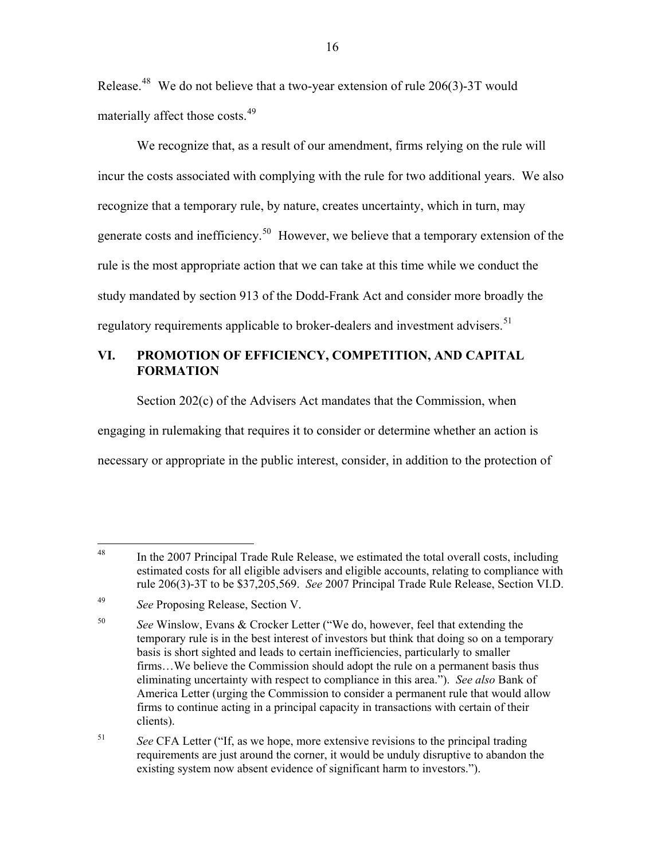Release.<sup>[48](#page-15-0)</sup> We do not believe that a two-year extension of rule 206(3)-3T would materially affect those costs.[49](#page-15-1)

We recognize that, as a result of our amendment, firms relying on the rule will incur the costs associated with complying with the rule for two additional years. We also recognize that a temporary rule, by nature, creates uncertainty, which in turn, may generate costs and inefficiency.<sup>[50](#page-15-2)</sup> However, we believe that a temporary extension of the rule is the most appropriate action that we can take at this time while we conduct the study mandated by section 913 of the Dodd-Frank Act and consider more broadly the regulatory requirements applicable to broker-dealers and investment advisers.<sup>[51](#page-15-3)</sup>

# **VI. PROMOTION OF EFFICIENCY, COMPETITION, AND CAPITAL FORMATION**

Section 202(c) of the Advisers Act mandates that the Commission, when engaging in rulemaking that requires it to consider or determine whether an action is necessary or appropriate in the public interest, consider, in addition to the protection of

<span id="page-15-3"></span>51 *See* CFA Letter ("If, as we hope, more extensive revisions to the principal trading requirements are just around the corner, it would be unduly disruptive to abandon the existing system now absent evidence of significant harm to investors.").

<span id="page-15-0"></span> $\overline{a}$  $48$  In the 2007 Principal Trade Rule Release, we estimated the total overall costs, including estimated costs for all eligible advisers and eligible accounts, relating to compliance with rule 206(3)-3T to be \$37,205,569. *See* 2007 Principal Trade Rule Release, Section VI.D.

<span id="page-15-1"></span><sup>49</sup> *See* Proposing Release, Section V.

<span id="page-15-2"></span><sup>50</sup> *See* Winslow, Evans & Crocker Letter ("We do, however, feel that extending the temporary rule is in the best interest of investors but think that doing so on a temporary basis is short sighted and leads to certain inefficiencies, particularly to smaller firms…We believe the Commission should adopt the rule on a permanent basis thus eliminating uncertainty with respect to compliance in this area."). *See also* Bank of America Letter (urging the Commission to consider a permanent rule that would allow firms to continue acting in a principal capacity in transactions with certain of their clients).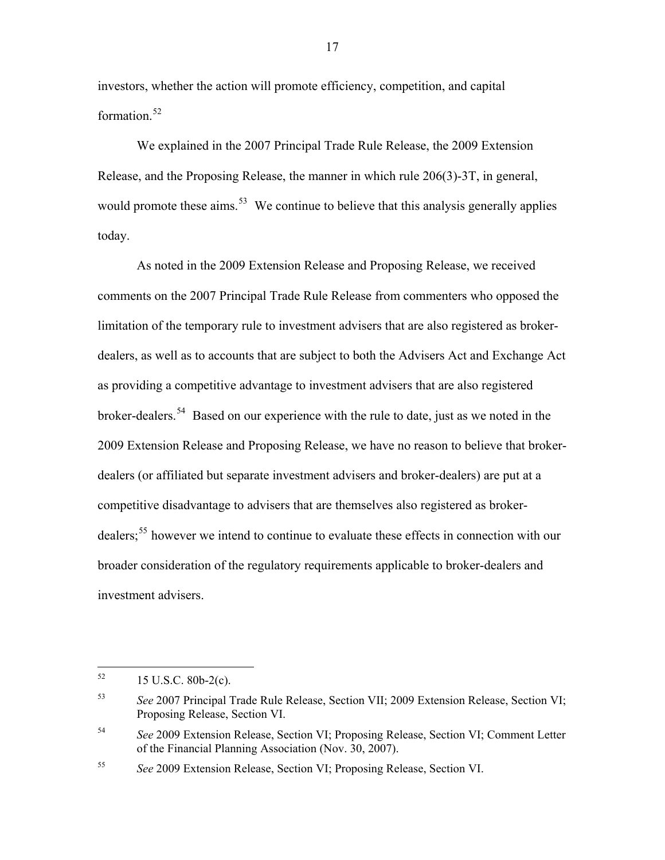investors, whether the action will promote efficiency, competition, and capital formation.<sup>[52](#page-16-0)</sup>

We explained in the 2007 Principal Trade Rule Release, the 2009 Extension Release, and the Proposing Release, the manner in which rule 206(3)-3T, in general, would promote these aims.<sup>[53](#page-16-1)</sup> We continue to believe that this analysis generally applies today.

As noted in the 2009 Extension Release and Proposing Release, we received comments on the 2007 Principal Trade Rule Release from commenters who opposed the limitation of the temporary rule to investment advisers that are also registered as brokerdealers, as well as to accounts that are subject to both the Advisers Act and Exchange Act as providing a competitive advantage to investment advisers that are also registered broker-dealers.[54](#page-16-2) Based on our experience with the rule to date, just as we noted in the 2009 Extension Release and Proposing Release, we have no reason to believe that brokerdealers (or affiliated but separate investment advisers and broker-dealers) are put at a competitive disadvantage to advisers that are themselves also registered as broker-dealers;<sup>[55](#page-16-3)</sup> however we intend to continue to evaluate these effects in connection with our broader consideration of the regulatory requirements applicable to broker-dealers and investment advisers.

<span id="page-16-0"></span><sup>52</sup> 52 15 U.S.C. 80b-2(c).

<span id="page-16-1"></span><sup>53</sup> *See* 2007 Principal Trade Rule Release, Section VII; 2009 Extension Release, Section VI; Proposing Release, Section VI.

<span id="page-16-2"></span><sup>54</sup> *See* 2009 Extension Release, Section VI; Proposing Release, Section VI; Comment Letter of the Financial Planning Association (Nov. 30, 2007).

<span id="page-16-3"></span><sup>55</sup> *See* 2009 Extension Release, Section VI; Proposing Release, Section VI.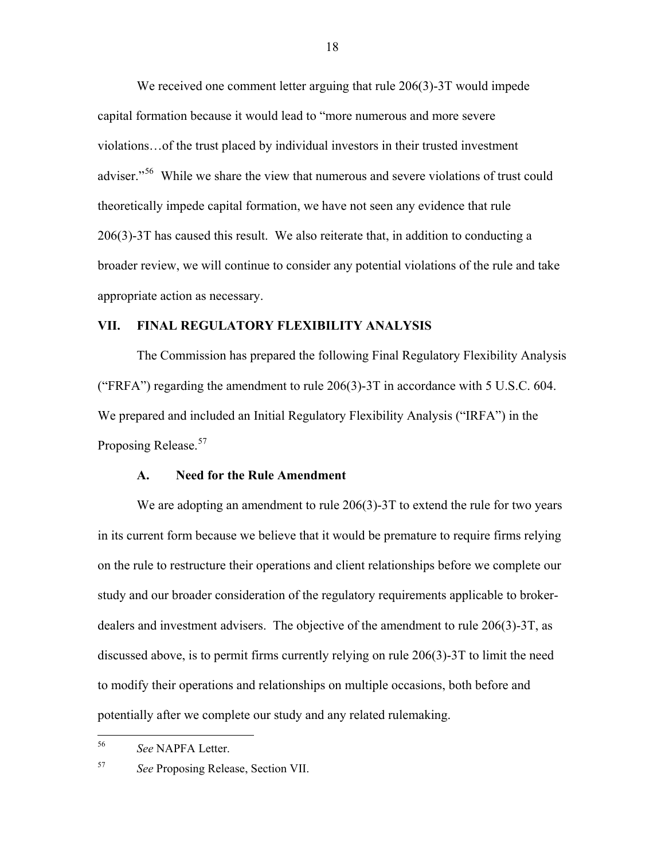We received one comment letter arguing that rule 206(3)-3T would impede capital formation because it would lead to "more numerous and more severe violations…of the trust placed by individual investors in their trusted investment adviser."<sup>[56](#page-17-0)</sup> While we share the view that numerous and severe violations of trust could theoretically impede capital formation, we have not seen any evidence that rule 206(3)-3T has caused this result. We also reiterate that, in addition to conducting a broader review, we will continue to consider any potential violations of the rule and take appropriate action as necessary.

## **VII. FINAL REGULATORY FLEXIBILITY ANALYSIS**

 The Commission has prepared the following Final Regulatory Flexibility Analysis ("FRFA") regarding the amendment to rule  $206(3)$ -3T in accordance with 5 U.S.C. 604. We prepared and included an Initial Regulatory Flexibility Analysis ("IRFA") in the Proposing Release.<sup>[57](#page-17-1)</sup>

#### **A. Need for the Rule Amendment**

We are adopting an amendment to rule 206(3)-3T to extend the rule for two years in its current form because we believe that it would be premature to require firms relying on the rule to restructure their operations and client relationships before we complete our study and our broader consideration of the regulatory requirements applicable to brokerdealers and investment advisers. The objective of the amendment to rule 206(3)-3T, as discussed above, is to permit firms currently relying on rule 206(3)-3T to limit the need to modify their operations and relationships on multiple occasions, both before and potentially after we complete our study and any related rulemaking.

<span id="page-17-0"></span><sup>56</sup> 56 *See* NAPFA Letter.

<span id="page-17-1"></span><sup>57</sup> *See* Proposing Release, Section VII.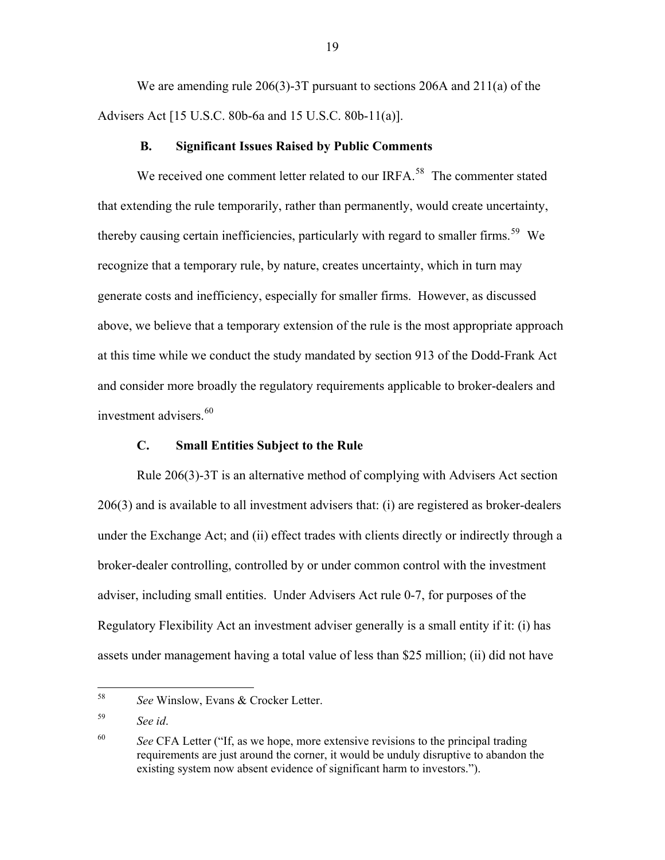We are amending rule 206(3)-3T pursuant to sections 206A and 211(a) of the Advisers Act [15 U.S.C. 80b-6a and 15 U.S.C. 80b-11(a)].

#### **B. Significant Issues Raised by Public Comments**

We received one comment letter related to our IRFA.<sup>[58](#page-18-0)</sup> The commenter stated that extending the rule temporarily, rather than permanently, would create uncertainty, thereby causing certain inefficiencies, particularly with regard to smaller firms.<sup>[59](#page-18-1)</sup> We recognize that a temporary rule, by nature, creates uncertainty, which in turn may generate costs and inefficiency, especially for smaller firms. However, as discussed above, we believe that a temporary extension of the rule is the most appropriate approach at this time while we conduct the study mandated by section 913 of the Dodd-Frank Act and consider more broadly the regulatory requirements applicable to broker-dealers and investment advisers.<sup>[60](#page-18-2)</sup>

## **C. Small Entities Subject to the Rule**

Rule 206(3)-3T is an alternative method of complying with Advisers Act section 206(3) and is available to all investment advisers that: (i) are registered as broker-dealers under the Exchange Act; and (ii) effect trades with clients directly or indirectly through a broker-dealer controlling, controlled by or under common control with the investment adviser, including small entities. Under Advisers Act rule 0-7, for purposes of the Regulatory Flexibility Act an investment adviser generally is a small entity if it: (i) has assets under management having a total value of less than \$25 million; (ii) did not have

<span id="page-18-0"></span><sup>58</sup> See Winslow, Evans & Crocker Letter.

<span id="page-18-1"></span><sup>59</sup> *See id*.

<span id="page-18-2"></span><sup>60</sup> *See* CFA Letter ("If, as we hope, more extensive revisions to the principal trading requirements are just around the corner, it would be unduly disruptive to abandon the existing system now absent evidence of significant harm to investors.").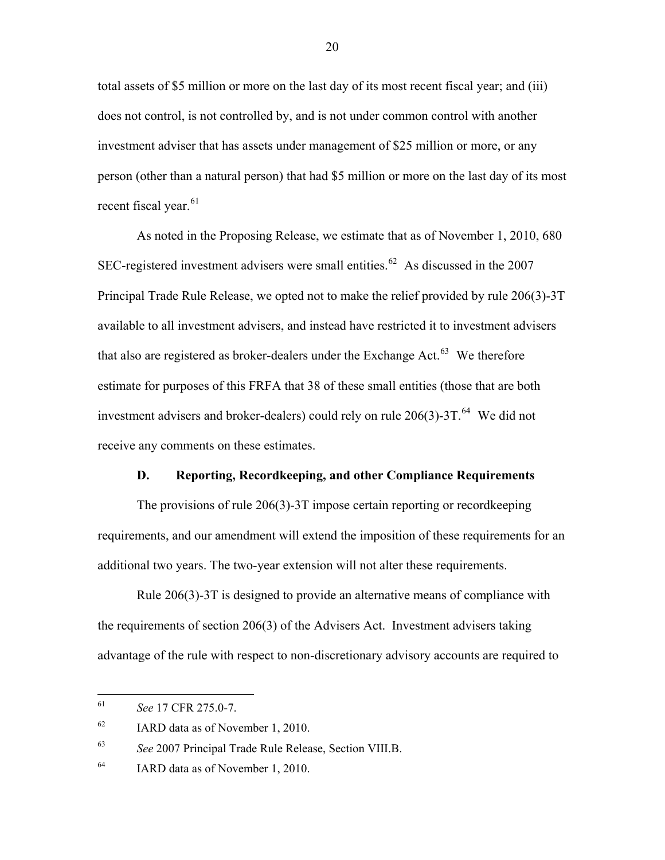total assets of \$5 million or more on the last day of its most recent fiscal year; and (iii) does not control, is not controlled by, and is not under common control with another investment adviser that has assets under management of \$25 million or more, or any person (other than a natural person) that had \$5 million or more on the last day of its most recent fiscal year.  $61$ 

As noted in the Proposing Release, we estimate that as of November 1, 2010, 680 SEC-registered investment advisers were small entities.<sup>[62](#page-19-1)</sup> As discussed in the 2007 Principal Trade Rule Release, we opted not to make the relief provided by rule 206(3)-3T available to all investment advisers, and instead have restricted it to investment advisers that also are registered as broker-dealers under the Exchange Act. $63$  We therefore estimate for purposes of this FRFA that 38 of these small entities (those that are both investment advisers and broker-dealers) could rely on rule  $206(3)$ -3T.<sup>[64](#page-19-3)</sup> We did not receive any comments on these estimates.

#### **D. Reporting, Recordkeeping, and other Compliance Requirements**

The provisions of rule 206(3)-3T impose certain reporting or recordkeeping requirements, and our amendment will extend the imposition of these requirements for an additional two years. The two-year extension will not alter these requirements.

Rule 206(3)-3T is designed to provide an alternative means of compliance with the requirements of section 206(3) of the Advisers Act. Investment advisers taking advantage of the rule with respect to non-discretionary advisory accounts are required to

<span id="page-19-0"></span><sup>61</sup> 61 *See* 17 CFR 275.0-7.

<span id="page-19-1"></span><sup>62</sup> IARD data as of November 1, 2010.

<span id="page-19-2"></span><sup>63</sup> *See* 2007 Principal Trade Rule Release, Section VIII.B.

<span id="page-19-3"></span><sup>&</sup>lt;sup>64</sup> IARD data as of November 1, 2010.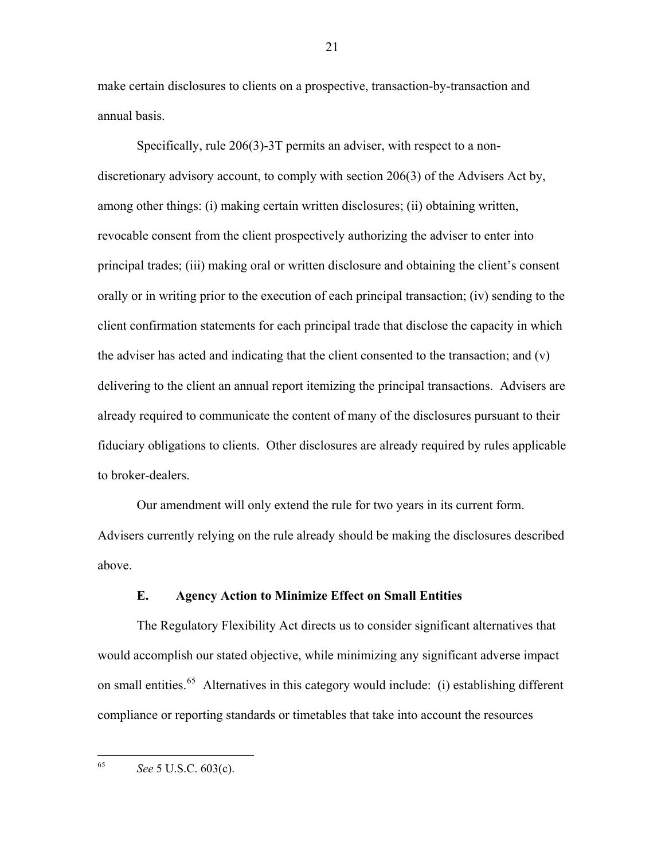make certain disclosures to clients on a prospective, transaction-by-transaction and annual basis.

Specifically, rule 206(3)-3T permits an adviser, with respect to a nondiscretionary advisory account, to comply with section 206(3) of the Advisers Act by, among other things: (i) making certain written disclosures; (ii) obtaining written, revocable consent from the client prospectively authorizing the adviser to enter into principal trades; (iii) making oral or written disclosure and obtaining the client's consent orally or in writing prior to the execution of each principal transaction; (iv) sending to the client confirmation statements for each principal trade that disclose the capacity in which the adviser has acted and indicating that the client consented to the transaction; and  $(v)$ delivering to the client an annual report itemizing the principal transactions. Advisers are already required to communicate the content of many of the disclosures pursuant to their fiduciary obligations to clients. Other disclosures are already required by rules applicable to broker-dealers.

Our amendment will only extend the rule for two years in its current form. Advisers currently relying on the rule already should be making the disclosures described above.

## **E. Agency Action to Minimize Effect on Small Entities**

The Regulatory Flexibility Act directs us to consider significant alternatives that would accomplish our stated objective, while minimizing any significant adverse impact on small entities.[65](#page-20-0) Alternatives in this category would include: (i) establishing different compliance or reporting standards or timetables that take into account the resources

<span id="page-20-0"></span>65 65 *See* 5 U.S.C. 603(c).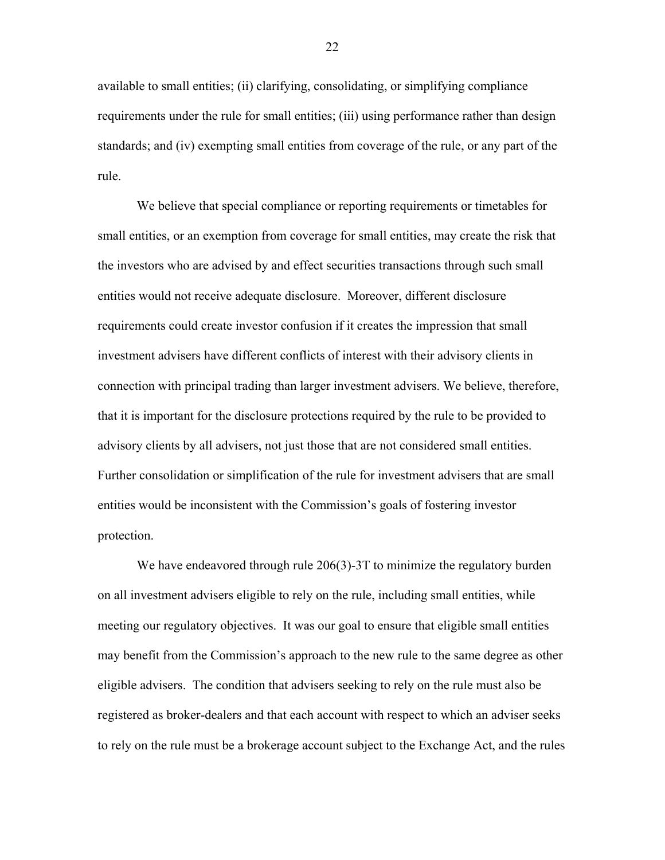available to small entities; (ii) clarifying, consolidating, or simplifying compliance requirements under the rule for small entities; (iii) using performance rather than design standards; and (iv) exempting small entities from coverage of the rule, or any part of the rule.

We believe that special compliance or reporting requirements or timetables for small entities, or an exemption from coverage for small entities, may create the risk that the investors who are advised by and effect securities transactions through such small entities would not receive adequate disclosure. Moreover, different disclosure requirements could create investor confusion if it creates the impression that small investment advisers have different conflicts of interest with their advisory clients in connection with principal trading than larger investment advisers. We believe, therefore, that it is important for the disclosure protections required by the rule to be provided to advisory clients by all advisers, not just those that are not considered small entities. Further consolidation or simplification of the rule for investment advisers that are small entities would be inconsistent with the Commission's goals of fostering investor protection.

We have endeavored through rule 206(3)-3T to minimize the regulatory burden on all investment advisers eligible to rely on the rule, including small entities, while meeting our regulatory objectives. It was our goal to ensure that eligible small entities may benefit from the Commission's approach to the new rule to the same degree as other eligible advisers. The condition that advisers seeking to rely on the rule must also be registered as broker-dealers and that each account with respect to which an adviser seeks to rely on the rule must be a brokerage account subject to the Exchange Act, and the rules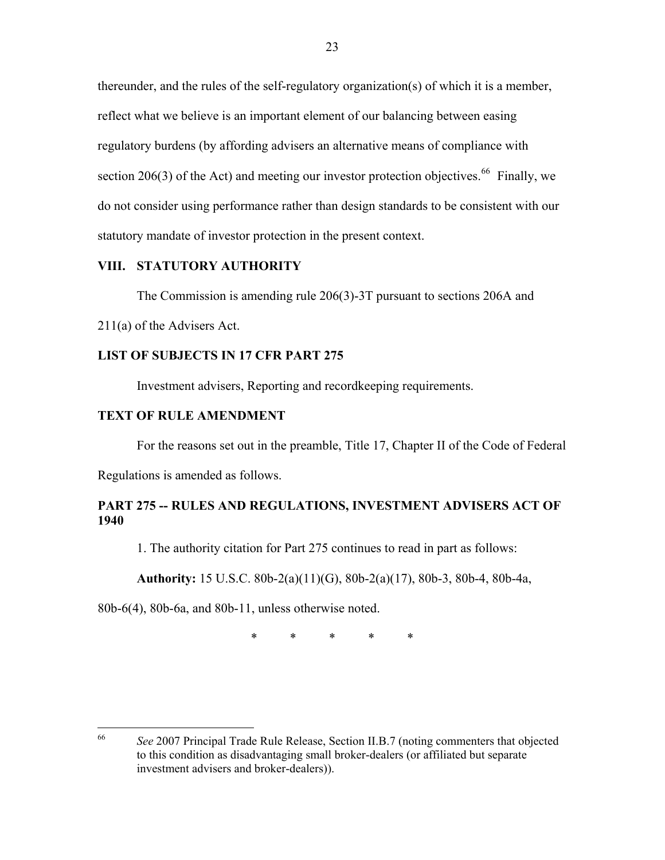thereunder, and the rules of the self-regulatory organization(s) of which it is a member, reflect what we believe is an important element of our balancing between easing regulatory burdens (by affording advisers an alternative means of compliance with section 206(3) of the Act) and meeting our investor protection objectives.<sup>[66](#page-22-0)</sup> Finally, we do not consider using performance rather than design standards to be consistent with our statutory mandate of investor protection in the present context.

# **VIII. STATUTORY AUTHORITY**

The Commission is amending rule 206(3)-3T pursuant to sections 206A and

211(a) of the Advisers Act.

# **LIST OF SUBJECTS IN 17 CFR PART 275**

Investment advisers, Reporting and recordkeeping requirements.

### **TEXT OF RULE AMENDMENT**

For the reasons set out in the preamble, Title 17, Chapter II of the Code of Federal

Regulations is amended as follows.

# **PART 275 -- RULES AND REGULATIONS, INVESTMENT ADVISERS ACT OF 1940**

1. The authority citation for Part 275 continues to read in part as follows:

 **Authority:** 15 U.S.C. 80b-2(a)(11)(G), 80b-2(a)(17), 80b-3, 80b-4, 80b-4a,

80b-6(4), 80b-6a, and 80b-11, unless otherwise noted.

\* \* \* \* \*

<span id="page-22-0"></span><sup>66</sup> 66 *See* 2007 Principal Trade Rule Release, Section II.B.7 (noting commenters that objected to this condition as disadvantaging small broker-dealers (or affiliated but separate investment advisers and broker-dealers)).